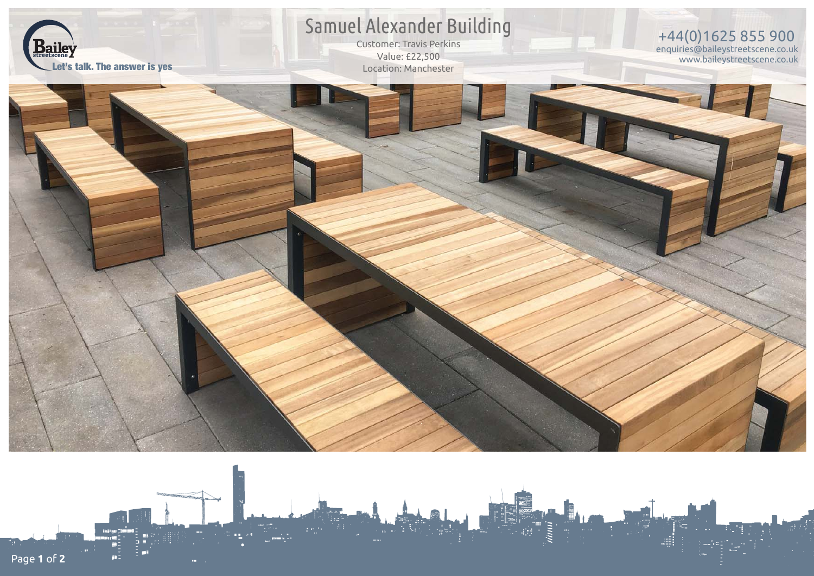